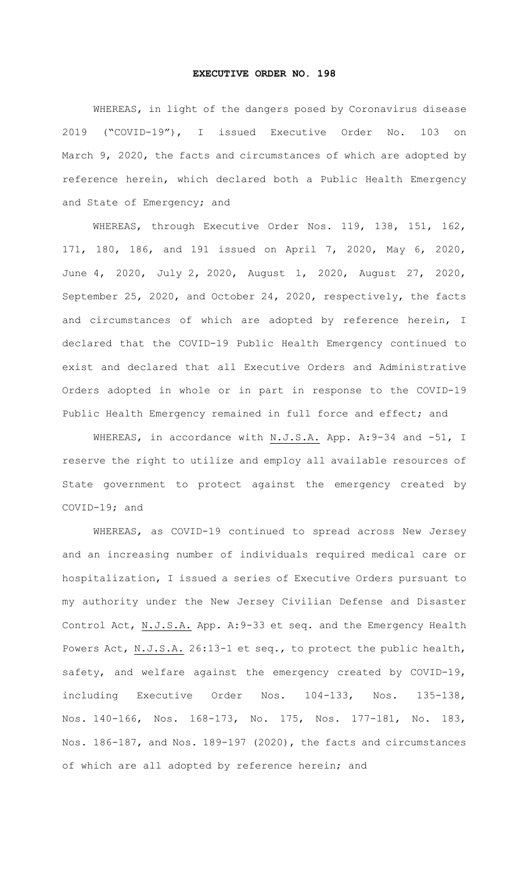## **EXECUTIVE ORDER NO. 198**

WHEREAS, in light of the dangers posed by Coronavirus disease 2019 ("COVID-19"), I issued Executive Order No. 103 on March 9, 2020, the facts and circumstances of which are adopted by reference herein, which declared both a Public Health Emergency and State of Emergency; and

WHEREAS, through Executive Order Nos. 119, 138, 151, 162, 171, 180, 186, and 191 issued on April 7, 2020, May 6, 2020, June 4, 2020, July 2, 2020, August 1, 2020, August 27, 2020, September 25, 2020, and October 24, 2020, respectively, the facts and circumstances of which are adopted by reference herein, I declared that the COVID-19 Public Health Emergency continued to exist and declared that all Executive Orders and Administrative Orders adopted in whole or in part in response to the COVID-19 Public Health Emergency remained in full force and effect; and

WHEREAS, in accordance with N.J.S.A. App. A: 9-34 and -51, I reserve the right to utilize and employ all available resources of State government to protect against the emergency created by COVID-19; and

WHEREAS, as COVID-19 continued to spread across New Jersey and an increasing number of individuals required medical care or hospitalization, I issued a series of Executive Orders pursuant to my authority under the New Jersey Civilian Defense and Disaster Control Act, N.J.S.A. App. A:9-33 et seq. and the Emergency Health Powers Act, N.J.S.A. 26:13-1 et seq., to protect the public health, safety, and welfare against the emergency created by COVID-19, including Executive Order Nos. 104-133, Nos. 135-138, Nos. 140-166, Nos. 168-173, No. 175, Nos. 177-181, No. 183, Nos. 186-187, and Nos. 189-197 (2020), the facts and circumstances of which are all adopted by reference herein; and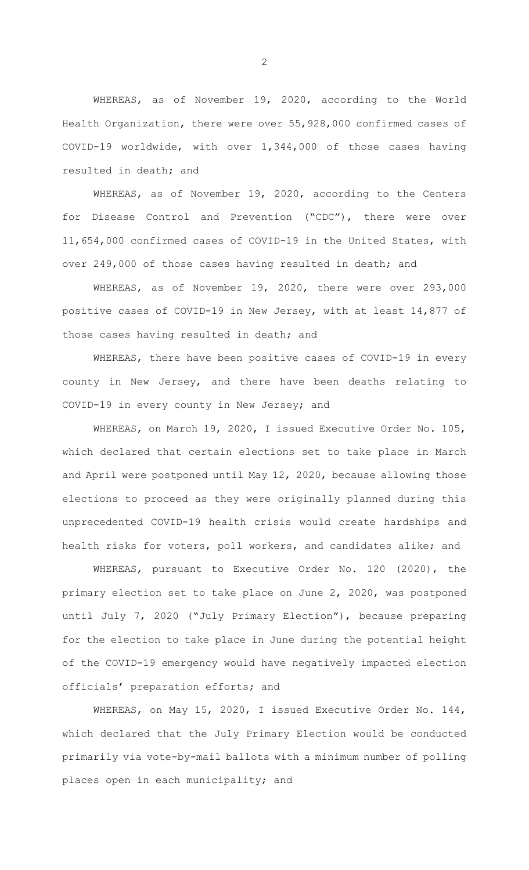WHEREAS, as of November 19, 2020, according to the World Health Organization, there were over 55,928,000 confirmed cases of COVID-19 worldwide, with over 1,344,000 of those cases having resulted in death; and

WHEREAS, as of November 19, 2020, according to the Centers for Disease Control and Prevention ("CDC"), there were over 11,654,000 confirmed cases of COVID-19 in the United States, with over 249,000 of those cases having resulted in death; and

WHEREAS, as of November 19, 2020, there were over 293,000 positive cases of COVID-19 in New Jersey, with at least 14,877 of those cases having resulted in death; and

WHEREAS, there have been positive cases of COVID-19 in every county in New Jersey, and there have been deaths relating to COVID-19 in every county in New Jersey; and

WHEREAS, on March 19, 2020, I issued Executive Order No. 105, which declared that certain elections set to take place in March and April were postponed until May 12, 2020, because allowing those elections to proceed as they were originally planned during this unprecedented COVID-19 health crisis would create hardships and health risks for voters, poll workers, and candidates alike; and

WHEREAS, pursuant to Executive Order No. 120 (2020), the primary election set to take place on June 2, 2020, was postponed until July 7, 2020 ("July Primary Election"), because preparing for the election to take place in June during the potential height of the COVID-19 emergency would have negatively impacted election officials' preparation efforts; and

WHEREAS, on May 15, 2020, I issued Executive Order No. 144, which declared that the July Primary Election would be conducted primarily via vote-by-mail ballots with a minimum number of polling places open in each municipality; and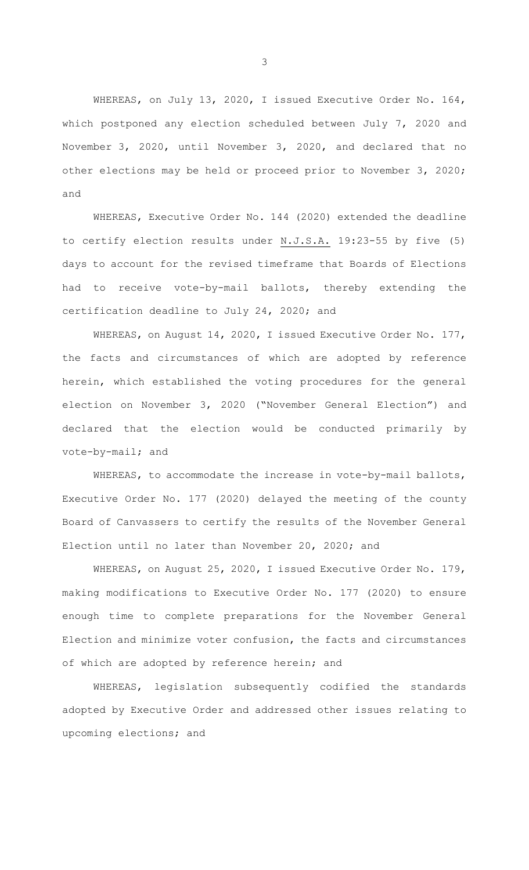WHEREAS, on July 13, 2020, I issued Executive Order No. 164, which postponed any election scheduled between July 7, 2020 and November 3, 2020, until November 3, 2020, and declared that no other elections may be held or proceed prior to November 3, 2020; and

WHEREAS, Executive Order No. 144 (2020) extended the deadline to certify election results under N.J.S.A. 19:23-55 by five (5) days to account for the revised timeframe that Boards of Elections had to receive vote-by-mail ballots, thereby extending the certification deadline to July 24, 2020; and

WHEREAS, on August 14, 2020, I issued Executive Order No. 177, the facts and circumstances of which are adopted by reference herein, which established the voting procedures for the general election on November 3, 2020 ("November General Election") and declared that the election would be conducted primarily by vote-by-mail; and

WHEREAS, to accommodate the increase in vote-by-mail ballots, Executive Order No. 177 (2020) delayed the meeting of the county Board of Canvassers to certify the results of the November General Election until no later than November 20, 2020; and

WHEREAS, on August 25, 2020, I issued Executive Order No. 179, making modifications to Executive Order No. 177 (2020) to ensure enough time to complete preparations for the November General Election and minimize voter confusion, the facts and circumstances of which are adopted by reference herein; and

WHEREAS, legislation subsequently codified the standards adopted by Executive Order and addressed other issues relating to upcoming elections; and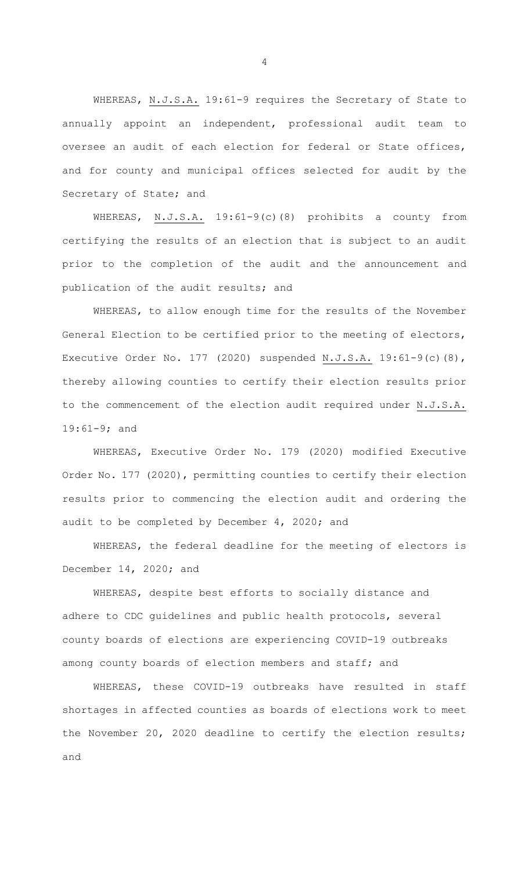WHEREAS, N.J.S.A. 19:61-9 requires the Secretary of State to annually appoint an independent, professional audit team to oversee an audit of each election for federal or State offices, and for county and municipal offices selected for audit by the Secretary of State; and

WHEREAS, N.J.S.A. 19:61-9(c)(8) prohibits a county from certifying the results of an election that is subject to an audit prior to the completion of the audit and the announcement and publication of the audit results; and

WHEREAS, to allow enough time for the results of the November General Election to be certified prior to the meeting of electors, Executive Order No. 177 (2020) suspended N.J.S.A. 19:61-9(c)(8), thereby allowing counties to certify their election results prior to the commencement of the election audit required under N.J.S.A. 19:61-9; and

WHEREAS, Executive Order No. 179 (2020) modified Executive Order No. 177 (2020), permitting counties to certify their election results prior to commencing the election audit and ordering the audit to be completed by December 4, 2020; and

WHEREAS, the federal deadline for the meeting of electors is December 14, 2020; and

WHEREAS, despite best efforts to socially distance and adhere to CDC guidelines and public health protocols, several county boards of elections are experiencing COVID-19 outbreaks among county boards of election members and staff; and

WHEREAS, these COVID-19 outbreaks have resulted in staff shortages in affected counties as boards of elections work to meet the November 20, 2020 deadline to certify the election results; and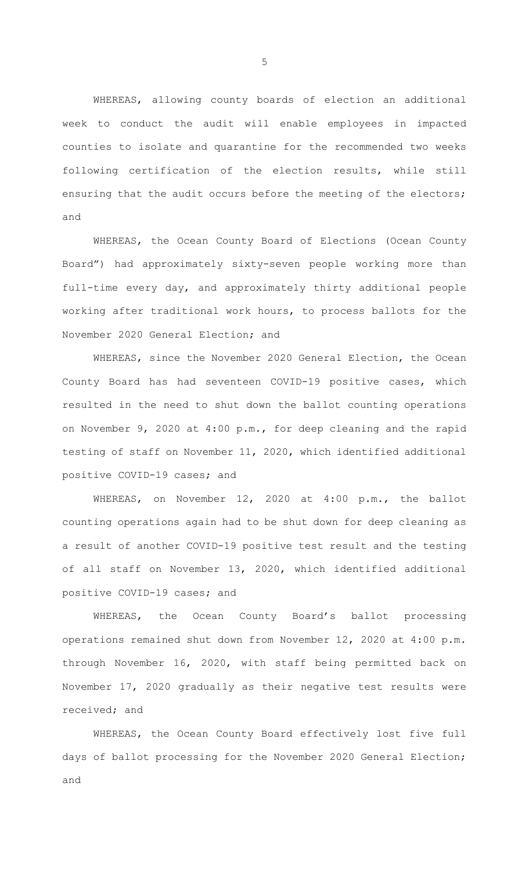WHEREAS, allowing county boards of election an additional week to conduct the audit will enable employees in impacted counties to isolate and quarantine for the recommended two weeks following certification of the election results, while still ensuring that the audit occurs before the meeting of the electors; and

WHEREAS, the Ocean County Board of Elections (Ocean County Board") had approximately sixty-seven people working more than full-time every day, and approximately thirty additional people working after traditional work hours, to process ballots for the November 2020 General Election; and

WHEREAS, since the November 2020 General Election, the Ocean County Board has had seventeen COVID-19 positive cases, which resulted in the need to shut down the ballot counting operations on November 9, 2020 at 4:00 p.m., for deep cleaning and the rapid testing of staff on November 11, 2020, which identified additional positive COVID-19 cases; and

WHEREAS, on November 12, 2020 at 4:00 p.m., the ballot counting operations again had to be shut down for deep cleaning as a result of another COVID-19 positive test result and the testing of all staff on November 13, 2020, which identified additional positive COVID-19 cases; and

WHEREAS, the Ocean County Board's ballot processing operations remained shut down from November 12, 2020 at 4:00 p.m. through November 16, 2020, with staff being permitted back on November 17, 2020 gradually as their negative test results were received; and

WHEREAS, the Ocean County Board effectively lost five full days of ballot processing for the November 2020 General Election; and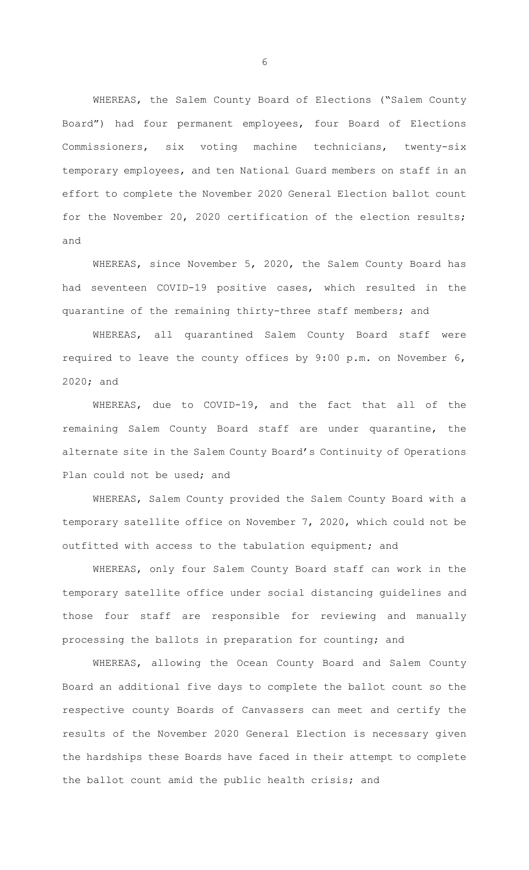WHEREAS, the Salem County Board of Elections ("Salem County Board") had four permanent employees, four Board of Elections Commissioners, six voting machine technicians, twenty-six temporary employees, and ten National Guard members on staff in an effort to complete the November 2020 General Election ballot count for the November 20, 2020 certification of the election results; and

WHEREAS, since November 5, 2020, the Salem County Board has had seventeen COVID-19 positive cases, which resulted in the quarantine of the remaining thirty-three staff members; and

WHEREAS, all quarantined Salem County Board staff were required to leave the county offices by 9:00 p.m. on November 6, 2020; and

WHEREAS, due to COVID-19, and the fact that all of the remaining Salem County Board staff are under quarantine, the alternate site in the Salem County Board's Continuity of Operations Plan could not be used; and

WHEREAS, Salem County provided the Salem County Board with a temporary satellite office on November 7, 2020, which could not be outfitted with access to the tabulation equipment; and

WHEREAS, only four Salem County Board staff can work in the temporary satellite office under social distancing guidelines and those four staff are responsible for reviewing and manually processing the ballots in preparation for counting; and

WHEREAS, allowing the Ocean County Board and Salem County Board an additional five days to complete the ballot count so the respective county Boards of Canvassers can meet and certify the results of the November 2020 General Election is necessary given the hardships these Boards have faced in their attempt to complete the ballot count amid the public health crisis; and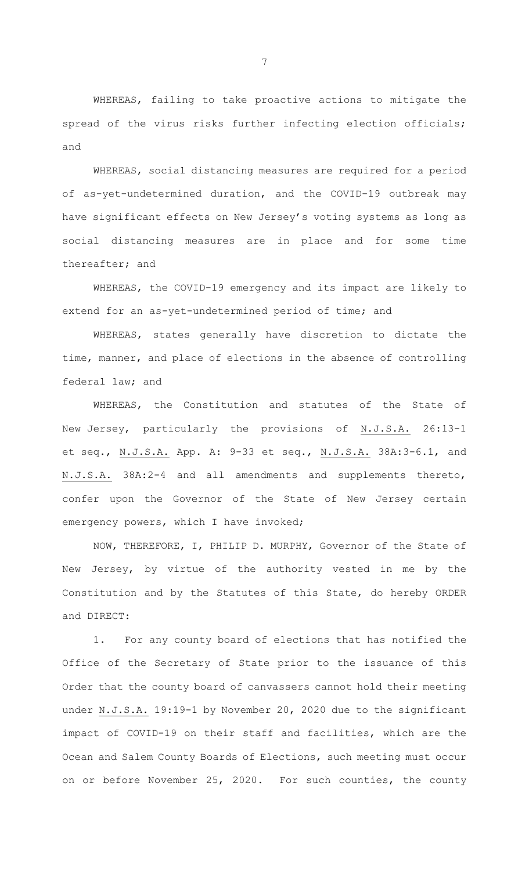WHEREAS, failing to take proactive actions to mitigate the spread of the virus risks further infecting election officials; and

WHEREAS, social distancing measures are required for a period of as-yet-undetermined duration, and the COVID-19 outbreak may have significant effects on New Jersey's voting systems as long as social distancing measures are in place and for some time thereafter; and

WHEREAS, the COVID-19 emergency and its impact are likely to extend for an as-yet-undetermined period of time; and

WHEREAS, states generally have discretion to dictate the time, manner, and place of elections in the absence of controlling federal law; and

WHEREAS, the Constitution and statutes of the State of New Jersey, particularly the provisions of N.J.S.A. 26:13-1 et seq., N.J.S.A. App. A: 9-33 et seq., N.J.S.A. 38A:3-6.1, and N.J.S.A. 38A:2-4 and all amendments and supplements thereto, confer upon the Governor of the State of New Jersey certain emergency powers, which I have invoked;

NOW, THEREFORE, I, PHILIP D. MURPHY, Governor of the State of New Jersey, by virtue of the authority vested in me by the Constitution and by the Statutes of this State, do hereby ORDER and DIRECT:

1. For any county board of elections that has notified the Office of the Secretary of State prior to the issuance of this Order that the county board of canvassers cannot hold their meeting under N.J.S.A. 19:19-1 by November 20, 2020 due to the significant impact of COVID-19 on their staff and facilities, which are the Ocean and Salem County Boards of Elections, such meeting must occur on or before November 25, 2020. For such counties, the county